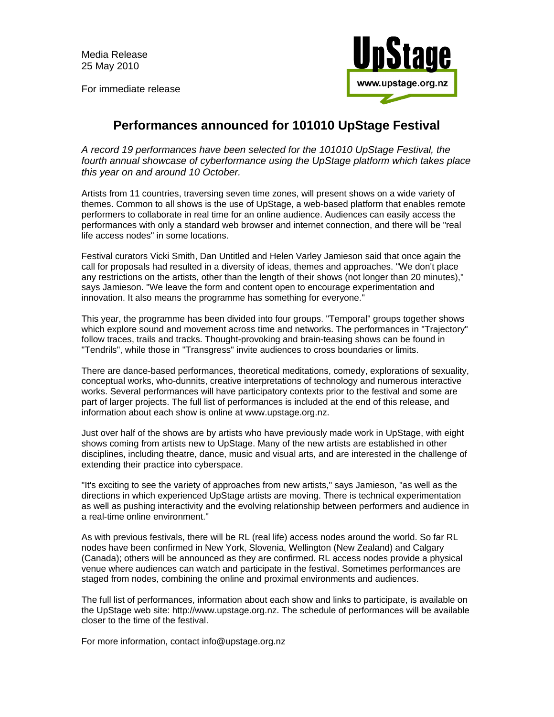Media Release 25 May 2010

For immediate release



## **Performances announced for 101010 UpStage Festival**

*A record 19 performances have been selected for the 101010 UpStage Festival, the fourth annual showcase of cyberformance using the UpStage platform which takes place this year on and around 10 October.*

Artists from 11 countries, traversing seven time zones, will present shows on a wide variety of themes. Common to all shows is the use of UpStage, a web-based platform that enables remote performers to collaborate in real time for an online audience. Audiences can easily access the performances with only a standard web browser and internet connection, and there will be "real life access nodes" in some locations.

Festival curators Vicki Smith, Dan Untitled and Helen Varley Jamieson said that once again the call for proposals had resulted in a diversity of ideas, themes and approaches. "We don't place any restrictions on the artists, other than the length of their shows (not longer than 20 minutes)," says Jamieson. "We leave the form and content open to encourage experimentation and innovation. It also means the programme has something for everyone."

This year, the programme has been divided into four groups. "Temporal" groups together shows which explore sound and movement across time and networks. The performances in "Trajectory" follow traces, trails and tracks. Thought-provoking and brain-teasing shows can be found in "Tendrils", while those in "Transgress" invite audiences to cross boundaries or limits.

There are dance-based performances, theoretical meditations, comedy, explorations of sexuality, conceptual works, who-dunnits, creative interpretations of technology and numerous interactive works. Several performances will have participatory contexts prior to the festival and some are part of larger projects. The full list of performances is included at the end of this release, and information about each show is online at www.upstage.org.nz.

Just over half of the shows are by artists who have previously made work in UpStage, with eight shows coming from artists new to UpStage. Many of the new artists are established in other disciplines, including theatre, dance, music and visual arts, and are interested in the challenge of extending their practice into cyberspace.

"It's exciting to see the variety of approaches from new artists," says Jamieson, "as well as the directions in which experienced UpStage artists are moving. There is technical experimentation as well as pushing interactivity and the evolving relationship between performers and audience in a real-time online environment."

As with previous festivals, there will be RL (real life) access nodes around the world. So far RL nodes have been confirmed in New York, Slovenia, Wellington (New Zealand) and Calgary (Canada); others will be announced as they are confirmed. RL access nodes provide a physical venue where audiences can watch and participate in the festival. Sometimes performances are staged from nodes, combining the online and proximal environments and audiences.

The full list of performances, information about each show and links to participate, is available on the UpStage web site: http://www.upstage.org.nz. The schedule of performances will be available closer to the time of the festival.

For more information, contact info@upstage.org.nz